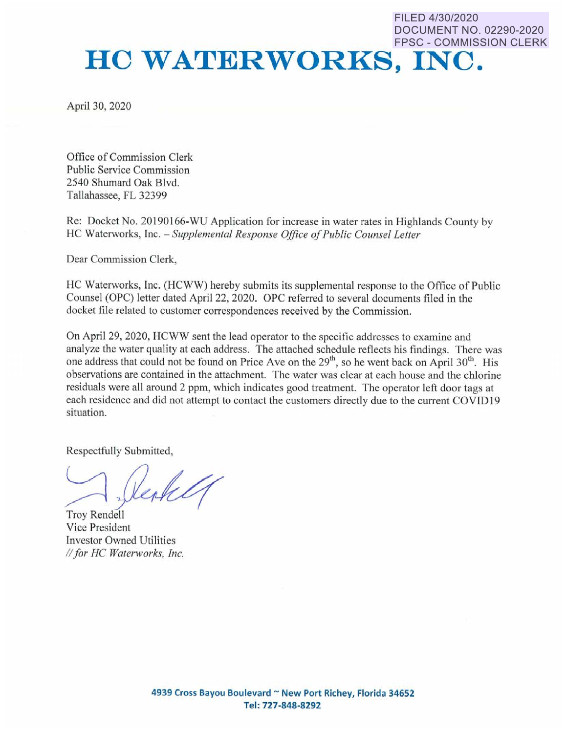## DOCUMENT NO. 02290-2020 FPSC - COMMISSION CLERK **HO WATERWORKS, INC.**

FILED 4/30/2020

April 30, 2020

Office of Commission Clerk Public Service Commission 2540 Shumard Oak Blvd. Tallahassee, FL 32399

Re: Docket No. 20190166-WU Application for increase in water rates in Highlands County by HC Waterworks, Inc. - Supplemental Response Office of Public Counsel Letter

Dear Commission Clerk,

HC Waterworks, Inc. (HCWW) hereby submits its supplemental response to the Office of Public Counsel (OPC) letter dated April 22, 2020. OPC referred to several documents filed in the docket file related to customer correspondences received by the Commission.

On April 29, 2020, HCWW sent the lead operator to the specific addresses to examine and analyze the water quality at each address. The attached schedule reflects his findings. There was one address that could not be found on Price Ave on the 29<sup>th</sup>, so he went back on April 30<sup>th</sup>. His observations are contained in the attachment. The water was clear at each house and the chlorine residuals were all around 2 ppm, whlch indicates good treatment. The operator left door tags at each residence and did not attempt to contact the customers directly due to the current COVID19 situation.

Respectfully Submitted,

Troy Rendell Vice President Investor Owned Utilities *II for HC Walerworks, Inc.*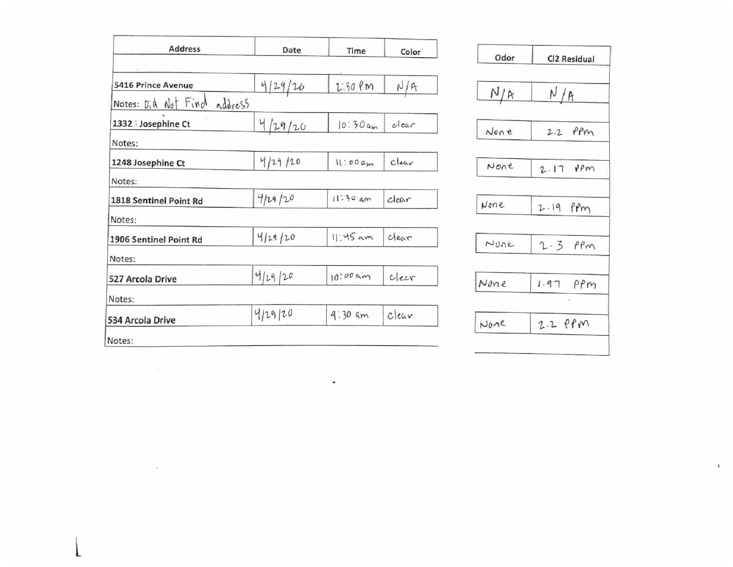| <b>Address</b>         | Date    | Time        | Color    |
|------------------------|---------|-------------|----------|
| 5416 Prince Avenue     | 4/29/20 | $1:30$ $PM$ | N/R      |
| Notes: Did Not Find    | address |             |          |
| 1332 Josephine Ct      | 4/29/20 | 10:30cm     | clear    |
| Notes:                 |         |             |          |
| 1248 Josephine Ct      | 4/29/20 | 11:00am     | $C$ lear |
| Notes:                 |         |             |          |
| 1818 Sentinel Point Rd | 4129/20 | $11:30$ am  | clear    |
| Notes:                 |         |             |          |
| 1906 Sentinel Point Rd | 4129120 | $11:45$ am  | Clear    |
| Notes:                 |         |             |          |
| 527 Arcola Drive       | 4/29/20 | 10.009m     | clear    |
| Notes:                 |         |             |          |
| 534 Arcola Drive       | 4/29/20 | $9:30$ am   | clear    |

 $\sim 100$ 

.

| Odor  | Cl2 Residual       |
|-------|--------------------|
| N/A   | N/R                |
| None  | $2.2$ PPm          |
| None  | $2.17$ $99m$       |
| None  | $2.19$ pm          |
| N00e  | $2.3$ $PRm$        |
| None  | $1.97$ $PPM$<br>54 |
| $N_0$ | $2.2$ $PPM$        |